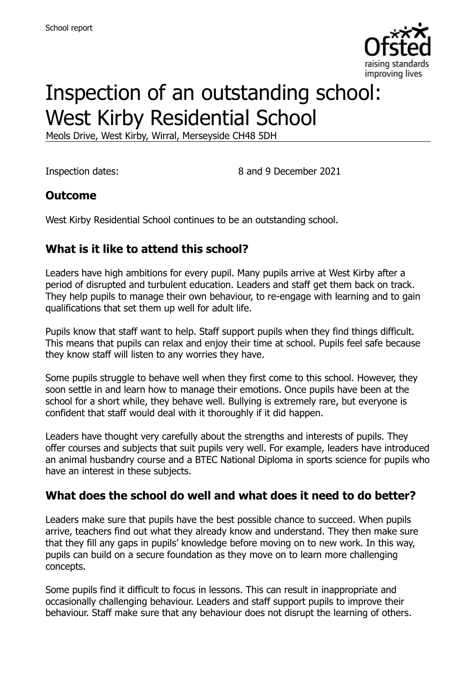

# Inspection of an outstanding school: West Kirby Residential School

Meols Drive, West Kirby, Wirral, Merseyside CH48 5DH

Inspection dates: 8 and 9 December 2021

# **Outcome**

West Kirby Residential School continues to be an outstanding school.

# **What is it like to attend this school?**

Leaders have high ambitions for every pupil. Many pupils arrive at West Kirby after a period of disrupted and turbulent education. Leaders and staff get them back on track. They help pupils to manage their own behaviour, to re-engage with learning and to gain qualifications that set them up well for adult life.

Pupils know that staff want to help. Staff support pupils when they find things difficult. This means that pupils can relax and enjoy their time at school. Pupils feel safe because they know staff will listen to any worries they have.

Some pupils struggle to behave well when they first come to this school. However, they soon settle in and learn how to manage their emotions. Once pupils have been at the school for a short while, they behave well. Bullying is extremely rare, but everyone is confident that staff would deal with it thoroughly if it did happen.

Leaders have thought very carefully about the strengths and interests of pupils. They offer courses and subjects that suit pupils very well. For example, leaders have introduced an animal husbandry course and a BTEC National Diploma in sports science for pupils who have an interest in these subjects.

#### **What does the school do well and what does it need to do better?**

Leaders make sure that pupils have the best possible chance to succeed. When pupils arrive, teachers find out what they already know and understand. They then make sure that they fill any gaps in pupils' knowledge before moving on to new work. In this way, pupils can build on a secure foundation as they move on to learn more challenging concepts.

Some pupils find it difficult to focus in lessons. This can result in inappropriate and occasionally challenging behaviour. Leaders and staff support pupils to improve their behaviour. Staff make sure that any behaviour does not disrupt the learning of others.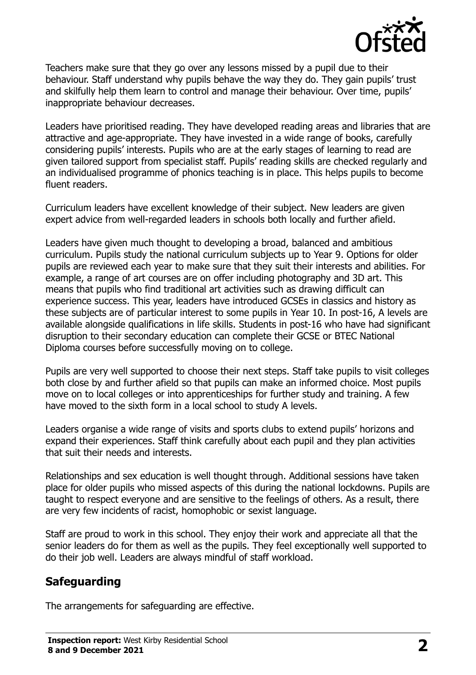

Teachers make sure that they go over any lessons missed by a pupil due to their behaviour. Staff understand why pupils behave the way they do. They gain pupils' trust and skilfully help them learn to control and manage their behaviour. Over time, pupils' inappropriate behaviour decreases.

Leaders have prioritised reading. They have developed reading areas and libraries that are attractive and age-appropriate. They have invested in a wide range of books, carefully considering pupils' interests. Pupils who are at the early stages of learning to read are given tailored support from specialist staff. Pupils' reading skills are checked regularly and an individualised programme of phonics teaching is in place. This helps pupils to become fluent readers.

Curriculum leaders have excellent knowledge of their subject. New leaders are given expert advice from well-regarded leaders in schools both locally and further afield.

Leaders have given much thought to developing a broad, balanced and ambitious curriculum. Pupils study the national curriculum subjects up to Year 9. Options for older pupils are reviewed each year to make sure that they suit their interests and abilities. For example, a range of art courses are on offer including photography and 3D art. This means that pupils who find traditional art activities such as drawing difficult can experience success. This year, leaders have introduced GCSEs in classics and history as these subjects are of particular interest to some pupils in Year 10. In post-16, A levels are available alongside qualifications in life skills. Students in post-16 who have had significant disruption to their secondary education can complete their GCSE or BTEC National Diploma courses before successfully moving on to college.

Pupils are very well supported to choose their next steps. Staff take pupils to visit colleges both close by and further afield so that pupils can make an informed choice. Most pupils move on to local colleges or into apprenticeships for further study and training. A few have moved to the sixth form in a local school to study A levels.

Leaders organise a wide range of visits and sports clubs to extend pupils' horizons and expand their experiences. Staff think carefully about each pupil and they plan activities that suit their needs and interests.

Relationships and sex education is well thought through. Additional sessions have taken place for older pupils who missed aspects of this during the national lockdowns. Pupils are taught to respect everyone and are sensitive to the feelings of others. As a result, there are very few incidents of racist, homophobic or sexist language.

Staff are proud to work in this school. They enjoy their work and appreciate all that the senior leaders do for them as well as the pupils. They feel exceptionally well supported to do their job well. Leaders are always mindful of staff workload.

#### **Safeguarding**

The arrangements for safeguarding are effective.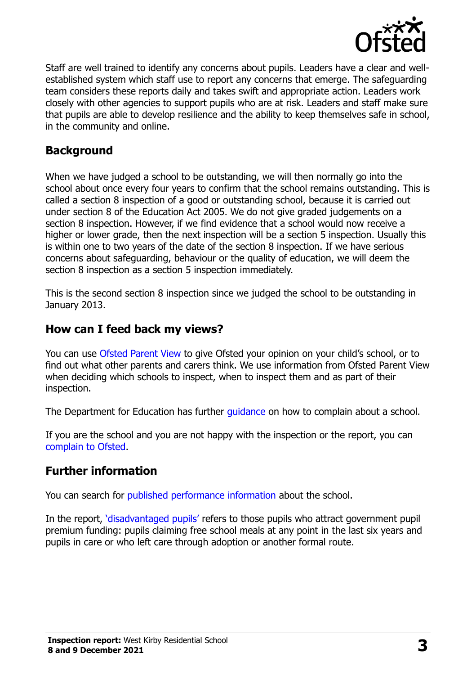

Staff are well trained to identify any concerns about pupils. Leaders have a clear and wellestablished system which staff use to report any concerns that emerge. The safeguarding team considers these reports daily and takes swift and appropriate action. Leaders work closely with other agencies to support pupils who are at risk. Leaders and staff make sure that pupils are able to develop resilience and the ability to keep themselves safe in school, in the community and online.

## **Background**

When we have judged a school to be outstanding, we will then normally go into the school about once every four years to confirm that the school remains outstanding. This is called a section 8 inspection of a good or outstanding school, because it is carried out under section 8 of the Education Act 2005. We do not give graded judgements on a section 8 inspection. However, if we find evidence that a school would now receive a higher or lower grade, then the next inspection will be a section 5 inspection. Usually this is within one to two years of the date of the section 8 inspection. If we have serious concerns about safeguarding, behaviour or the quality of education, we will deem the section 8 inspection as a section 5 inspection immediately.

This is the second section 8 inspection since we judged the school to be outstanding in January 2013.

#### **How can I feed back my views?**

You can use [Ofsted Parent View](https://parentview.ofsted.gov.uk/) to give Ofsted your opinion on your child's school, or to find out what other parents and carers think. We use information from Ofsted Parent View when deciding which schools to inspect, when to inspect them and as part of their inspection.

The Department for Education has further quidance on how to complain about a school.

If you are the school and you are not happy with the inspection or the report, you can [complain to Ofsted.](https://www.gov.uk/complain-ofsted-report)

#### **Further information**

You can search for [published performance information](http://www.compare-school-performance.service.gov.uk/) about the school.

In the report, '[disadvantaged pupils](http://www.gov.uk/guidance/pupil-premium-information-for-schools-and-alternative-provision-settings)' refers to those pupils who attract government pupil premium funding: pupils claiming free school meals at any point in the last six years and pupils in care or who left care through adoption or another formal route.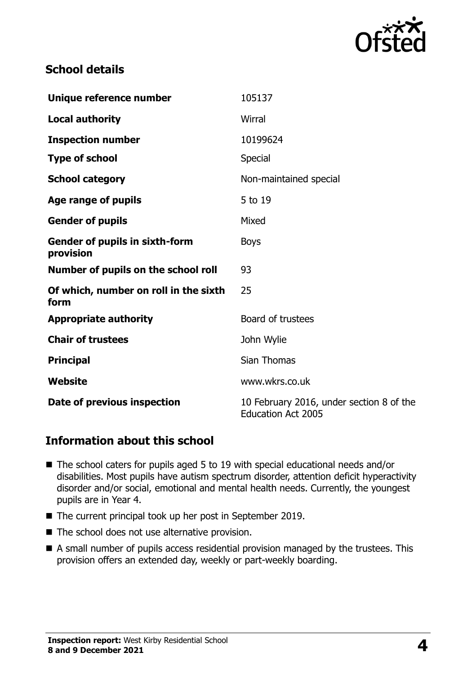

# **School details**

| Unique reference number                            | 105137                                                                |
|----------------------------------------------------|-----------------------------------------------------------------------|
| <b>Local authority</b>                             | Wirral                                                                |
| <b>Inspection number</b>                           | 10199624                                                              |
| <b>Type of school</b>                              | Special                                                               |
| <b>School category</b>                             | Non-maintained special                                                |
| Age range of pupils                                | 5 to 19                                                               |
| <b>Gender of pupils</b>                            | Mixed                                                                 |
| <b>Gender of pupils in sixth-form</b><br>provision | <b>Boys</b>                                                           |
| Number of pupils on the school roll                | 93                                                                    |
| Of which, number on roll in the sixth<br>form      | 25                                                                    |
| <b>Appropriate authority</b>                       | Board of trustees                                                     |
| <b>Chair of trustees</b>                           | John Wylie                                                            |
| <b>Principal</b>                                   | Sian Thomas                                                           |
| Website                                            | www.wkrs.co.uk                                                        |
| Date of previous inspection                        | 10 February 2016, under section 8 of the<br><b>Education Act 2005</b> |

### **Information about this school**

- The school caters for pupils aged 5 to 19 with special educational needs and/or disabilities. Most pupils have autism spectrum disorder, attention deficit hyperactivity disorder and/or social, emotional and mental health needs. Currently, the youngest pupils are in Year 4.
- The current principal took up her post in September 2019.
- The school does not use alternative provision.
- A small number of pupils access residential provision managed by the trustees. This provision offers an extended day, weekly or part-weekly boarding.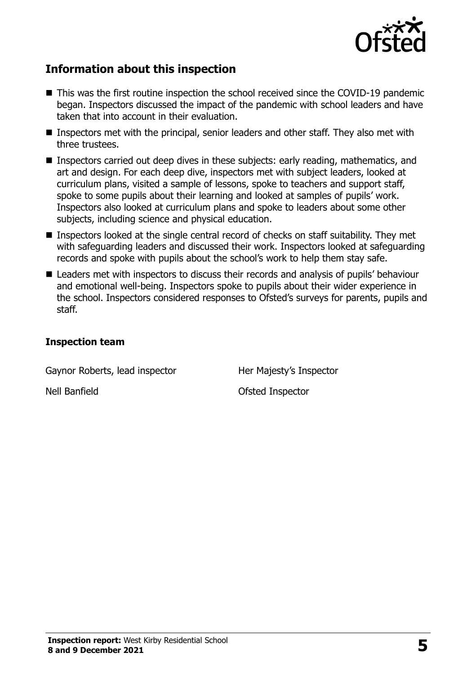

# **Information about this inspection**

- This was the first routine inspection the school received since the COVID-19 pandemic began. Inspectors discussed the impact of the pandemic with school leaders and have taken that into account in their evaluation.
- Inspectors met with the principal, senior leaders and other staff. They also met with three trustees.
- Inspectors carried out deep dives in these subjects: early reading, mathematics, and art and design. For each deep dive, inspectors met with subject leaders, looked at curriculum plans, visited a sample of lessons, spoke to teachers and support staff, spoke to some pupils about their learning and looked at samples of pupils' work. Inspectors also looked at curriculum plans and spoke to leaders about some other subjects, including science and physical education.
- Inspectors looked at the single central record of checks on staff suitability. They met with safeguarding leaders and discussed their work. Inspectors looked at safeguarding records and spoke with pupils about the school's work to help them stay safe.
- Leaders met with inspectors to discuss their records and analysis of pupils' behaviour and emotional well-being. Inspectors spoke to pupils about their wider experience in the school. Inspectors considered responses to Ofsted's surveys for parents, pupils and staff.

#### **Inspection team**

Gaynor Roberts, lead inspector Her Majesty's Inspector

Nell Banfield **Nell Banfield Ofsted Inspector**